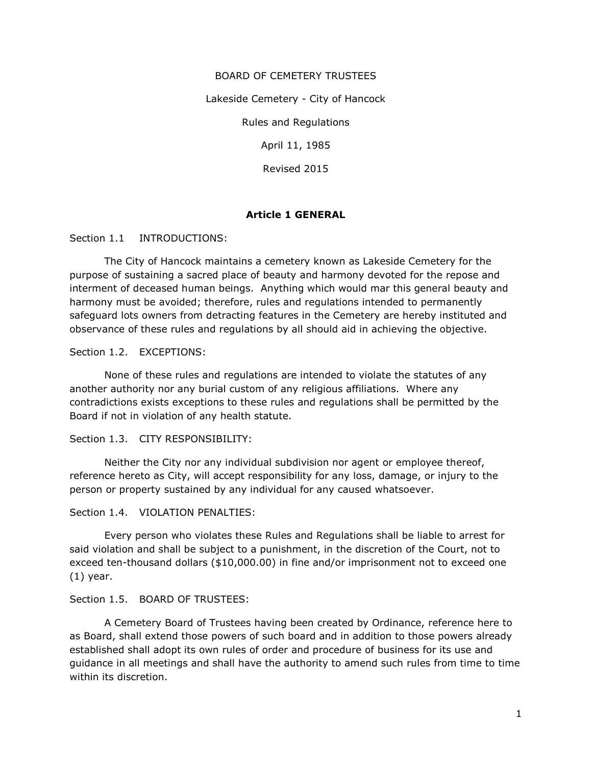# BOARD OF CEMETERY TRUSTEES

Lakeside Cemetery - City of Hancock

Rules and Regulations

April 11, 1985

Revised 2015

## Article 1 GENERAL

Section 1.1 INTRODUCTIONS:

 The City of Hancock maintains a cemetery known as Lakeside Cemetery for the purpose of sustaining a sacred place of beauty and harmony devoted for the repose and interment of deceased human beings. Anything which would mar this general beauty and harmony must be avoided; therefore, rules and regulations intended to permanently safeguard lots owners from detracting features in the Cemetery are hereby instituted and observance of these rules and regulations by all should aid in achieving the objective.

Section 1.2. EXCEPTIONS:

 None of these rules and regulations are intended to violate the statutes of any another authority nor any burial custom of any religious affiliations. Where any contradictions exists exceptions to these rules and regulations shall be permitted by the Board if not in violation of any health statute.

Section 1.3. CITY RESPONSIBILITY:

 Neither the City nor any individual subdivision nor agent or employee thereof, reference hereto as City, will accept responsibility for any loss, damage, or injury to the person or property sustained by any individual for any caused whatsoever.

#### Section 1.4. VIOLATION PENALTIES:

 Every person who violates these Rules and Regulations shall be liable to arrest for said violation and shall be subject to a punishment, in the discretion of the Court, not to exceed ten-thousand dollars (\$10,000.00) in fine and/or imprisonment not to exceed one (1) year.

## Section 1.5. BOARD OF TRUSTEES:

 A Cemetery Board of Trustees having been created by Ordinance, reference here to as Board, shall extend those powers of such board and in addition to those powers already established shall adopt its own rules of order and procedure of business for its use and guidance in all meetings and shall have the authority to amend such rules from time to time within its discretion.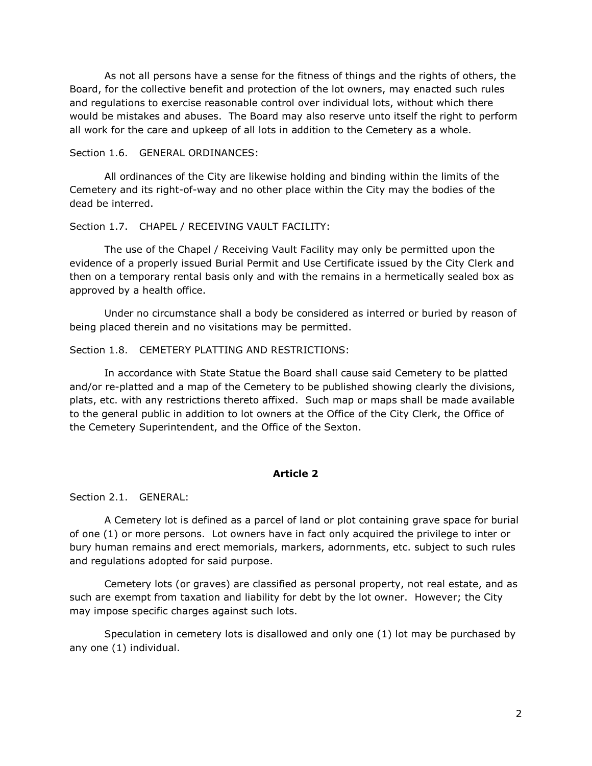As not all persons have a sense for the fitness of things and the rights of others, the Board, for the collective benefit and protection of the lot owners, may enacted such rules and regulations to exercise reasonable control over individual lots, without which there would be mistakes and abuses. The Board may also reserve unto itself the right to perform all work for the care and upkeep of all lots in addition to the Cemetery as a whole.

#### Section 1.6. GENERAL ORDINANCES:

 All ordinances of the City are likewise holding and binding within the limits of the Cemetery and its right-of-way and no other place within the City may the bodies of the dead be interred.

## Section 1.7. CHAPEL / RECEIVING VAULT FACILITY:

 The use of the Chapel / Receiving Vault Facility may only be permitted upon the evidence of a properly issued Burial Permit and Use Certificate issued by the City Clerk and then on a temporary rental basis only and with the remains in a hermetically sealed box as approved by a health office.

 Under no circumstance shall a body be considered as interred or buried by reason of being placed therein and no visitations may be permitted.

## Section 1.8. CEMETERY PLATTING AND RESTRICTIONS:

 In accordance with State Statue the Board shall cause said Cemetery to be platted and/or re-platted and a map of the Cemetery to be published showing clearly the divisions, plats, etc. with any restrictions thereto affixed. Such map or maps shall be made available to the general public in addition to lot owners at the Office of the City Clerk, the Office of the Cemetery Superintendent, and the Office of the Sexton.

## Article 2

Section 2.1. GENERAL:

 A Cemetery lot is defined as a parcel of land or plot containing grave space for burial of one (1) or more persons. Lot owners have in fact only acquired the privilege to inter or bury human remains and erect memorials, markers, adornments, etc. subject to such rules and regulations adopted for said purpose.

 Cemetery lots (or graves) are classified as personal property, not real estate, and as such are exempt from taxation and liability for debt by the lot owner. However; the City may impose specific charges against such lots.

 Speculation in cemetery lots is disallowed and only one (1) lot may be purchased by any one (1) individual.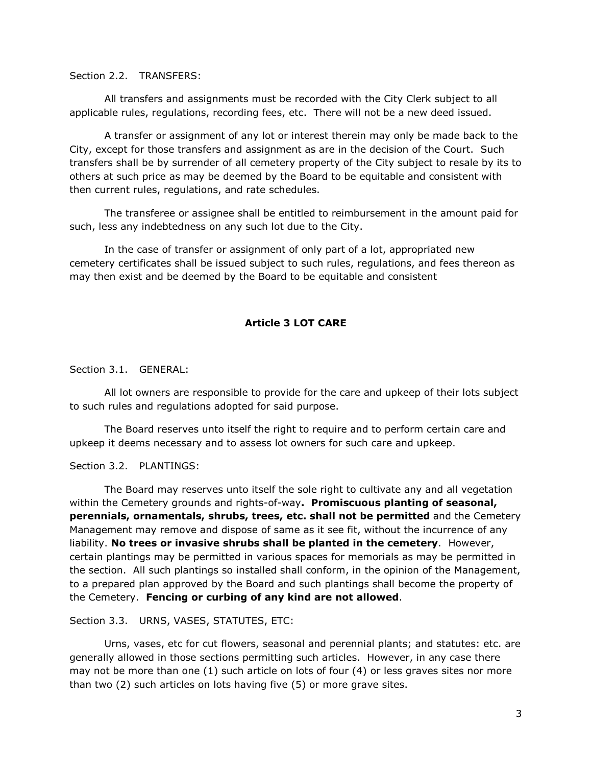#### Section 2.2. TRANSFERS:

 All transfers and assignments must be recorded with the City Clerk subject to all applicable rules, regulations, recording fees, etc. There will not be a new deed issued.

 A transfer or assignment of any lot or interest therein may only be made back to the City, except for those transfers and assignment as are in the decision of the Court. Such transfers shall be by surrender of all cemetery property of the City subject to resale by its to others at such price as may be deemed by the Board to be equitable and consistent with then current rules, regulations, and rate schedules.

 The transferee or assignee shall be entitled to reimbursement in the amount paid for such, less any indebtedness on any such lot due to the City.

 In the case of transfer or assignment of only part of a lot, appropriated new cemetery certificates shall be issued subject to such rules, regulations, and fees thereon as may then exist and be deemed by the Board to be equitable and consistent

## Article 3 LOT CARE

Section 3.1. GENERAL:

 All lot owners are responsible to provide for the care and upkeep of their lots subject to such rules and regulations adopted for said purpose.

 The Board reserves unto itself the right to require and to perform certain care and upkeep it deems necessary and to assess lot owners for such care and upkeep.

## Section 3.2. PLANTINGS:

 The Board may reserves unto itself the sole right to cultivate any and all vegetation within the Cemetery grounds and rights-of-way. Promiscuous planting of seasonal, perennials, ornamentals, shrubs, trees, etc. shall not be permitted and the Cemetery Management may remove and dispose of same as it see fit, without the incurrence of any liability. No trees or invasive shrubs shall be planted in the cemetery. However, certain plantings may be permitted in various spaces for memorials as may be permitted in the section. All such plantings so installed shall conform, in the opinion of the Management, to a prepared plan approved by the Board and such plantings shall become the property of the Cemetery. Fencing or curbing of any kind are not allowed.

## Section 3.3. URNS, VASES, STATUTES, ETC:

 Urns, vases, etc for cut flowers, seasonal and perennial plants; and statutes: etc. are generally allowed in those sections permitting such articles. However, in any case there may not be more than one (1) such article on lots of four (4) or less graves sites nor more than two (2) such articles on lots having five (5) or more grave sites.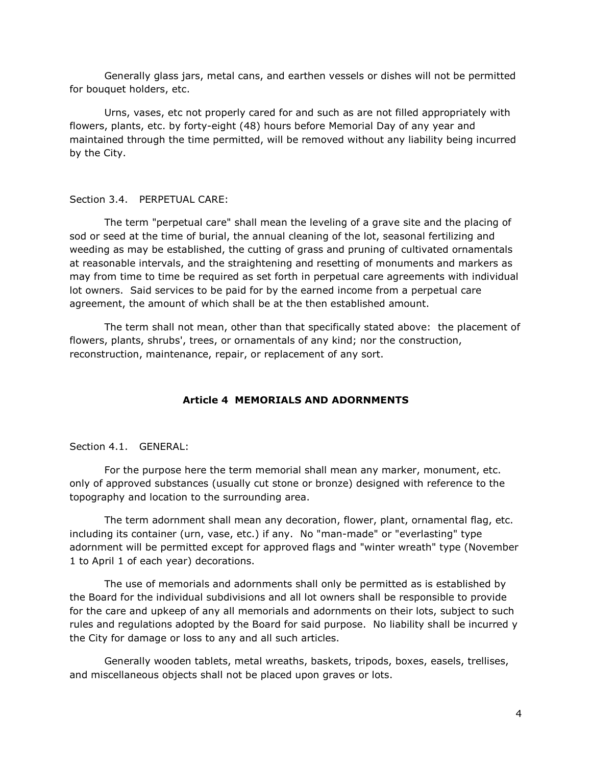Generally glass jars, metal cans, and earthen vessels or dishes will not be permitted for bouquet holders, etc.

 Urns, vases, etc not properly cared for and such as are not filled appropriately with flowers, plants, etc. by forty-eight (48) hours before Memorial Day of any year and maintained through the time permitted, will be removed without any liability being incurred by the City.

#### Section 3.4. PERPETUAL CARE:

 The term "perpetual care" shall mean the leveling of a grave site and the placing of sod or seed at the time of burial, the annual cleaning of the lot, seasonal fertilizing and weeding as may be established, the cutting of grass and pruning of cultivated ornamentals at reasonable intervals, and the straightening and resetting of monuments and markers as may from time to time be required as set forth in perpetual care agreements with individual lot owners. Said services to be paid for by the earned income from a perpetual care agreement, the amount of which shall be at the then established amount.

 The term shall not mean, other than that specifically stated above: the placement of flowers, plants, shrubs', trees, or ornamentals of any kind; nor the construction, reconstruction, maintenance, repair, or replacement of any sort.

#### Article 4 MEMORIALS AND ADORNMENTS

Section 4.1. GENERAL:

 For the purpose here the term memorial shall mean any marker, monument, etc. only of approved substances (usually cut stone or bronze) designed with reference to the topography and location to the surrounding area.

 The term adornment shall mean any decoration, flower, plant, ornamental flag, etc. including its container (urn, vase, etc.) if any. No "man-made" or "everlasting" type adornment will be permitted except for approved flags and "winter wreath" type (November 1 to April 1 of each year) decorations.

 The use of memorials and adornments shall only be permitted as is established by the Board for the individual subdivisions and all lot owners shall be responsible to provide for the care and upkeep of any all memorials and adornments on their lots, subject to such rules and regulations adopted by the Board for said purpose. No liability shall be incurred y the City for damage or loss to any and all such articles.

 Generally wooden tablets, metal wreaths, baskets, tripods, boxes, easels, trellises, and miscellaneous objects shall not be placed upon graves or lots.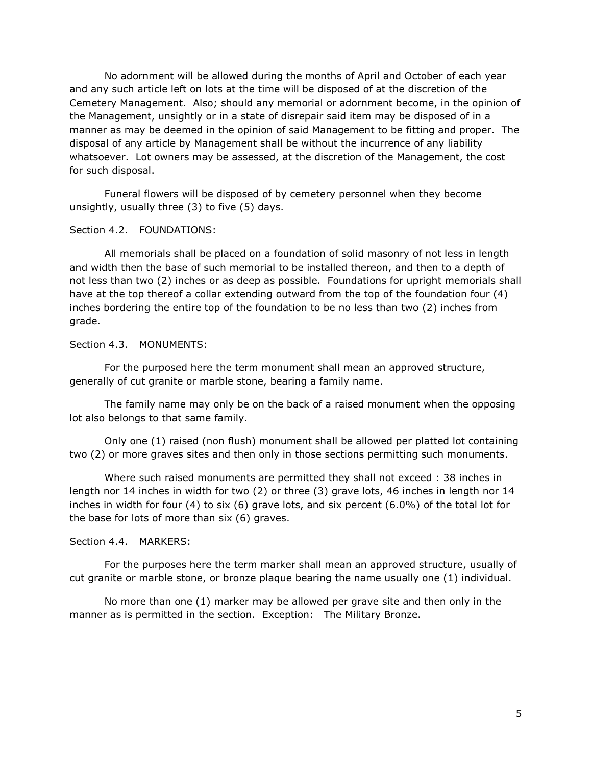No adornment will be allowed during the months of April and October of each year and any such article left on lots at the time will be disposed of at the discretion of the Cemetery Management. Also; should any memorial or adornment become, in the opinion of the Management, unsightly or in a state of disrepair said item may be disposed of in a manner as may be deemed in the opinion of said Management to be fitting and proper. The disposal of any article by Management shall be without the incurrence of any liability whatsoever. Lot owners may be assessed, at the discretion of the Management, the cost for such disposal.

 Funeral flowers will be disposed of by cemetery personnel when they become unsightly, usually three (3) to five (5) days.

## Section 4.2. FOUNDATIONS:

 All memorials shall be placed on a foundation of solid masonry of not less in length and width then the base of such memorial to be installed thereon, and then to a depth of not less than two (2) inches or as deep as possible. Foundations for upright memorials shall have at the top thereof a collar extending outward from the top of the foundation four (4) inches bordering the entire top of the foundation to be no less than two (2) inches from grade.

Section 4.3. MONUMENTS:

 For the purposed here the term monument shall mean an approved structure, generally of cut granite or marble stone, bearing a family name.

 The family name may only be on the back of a raised monument when the opposing lot also belongs to that same family.

 Only one (1) raised (non flush) monument shall be allowed per platted lot containing two (2) or more graves sites and then only in those sections permitting such monuments.

 Where such raised monuments are permitted they shall not exceed : 38 inches in length nor 14 inches in width for two (2) or three (3) grave lots, 46 inches in length nor 14 inches in width for four (4) to six (6) grave lots, and six percent (6.0%) of the total lot for the base for lots of more than six (6) graves.

## Section 4.4. MARKERS:

 For the purposes here the term marker shall mean an approved structure, usually of cut granite or marble stone, or bronze plaque bearing the name usually one (1) individual.

 No more than one (1) marker may be allowed per grave site and then only in the manner as is permitted in the section. Exception: The Military Bronze.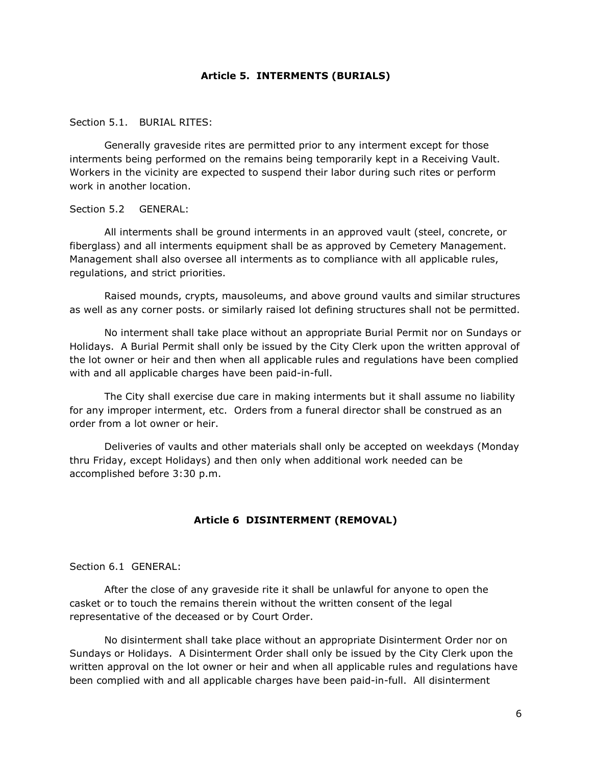#### Article 5. INTERMENTS (BURIALS)

#### Section 5.1. BURIAL RITES:

 Generally graveside rites are permitted prior to any interment except for those interments being performed on the remains being temporarily kept in a Receiving Vault. Workers in the vicinity are expected to suspend their labor during such rites or perform work in another location.

Section 5.2 GENERAL:

 All interments shall be ground interments in an approved vault (steel, concrete, or fiberglass) and all interments equipment shall be as approved by Cemetery Management. Management shall also oversee all interments as to compliance with all applicable rules, regulations, and strict priorities.

 Raised mounds, crypts, mausoleums, and above ground vaults and similar structures as well as any corner posts. or similarly raised lot defining structures shall not be permitted.

 No interment shall take place without an appropriate Burial Permit nor on Sundays or Holidays. A Burial Permit shall only be issued by the City Clerk upon the written approval of the lot owner or heir and then when all applicable rules and regulations have been complied with and all applicable charges have been paid-in-full.

 The City shall exercise due care in making interments but it shall assume no liability for any improper interment, etc. Orders from a funeral director shall be construed as an order from a lot owner or heir.

 Deliveries of vaults and other materials shall only be accepted on weekdays (Monday thru Friday, except Holidays) and then only when additional work needed can be accomplished before 3:30 p.m.

#### Article 6 DISINTERMENT (REMOVAL)

## Section 6.1 GENERAL:

 After the close of any graveside rite it shall be unlawful for anyone to open the casket or to touch the remains therein without the written consent of the legal representative of the deceased or by Court Order.

 No disinterment shall take place without an appropriate Disinterment Order nor on Sundays or Holidays. A Disinterment Order shall only be issued by the City Clerk upon the written approval on the lot owner or heir and when all applicable rules and regulations have been complied with and all applicable charges have been paid-in-full. All disinterment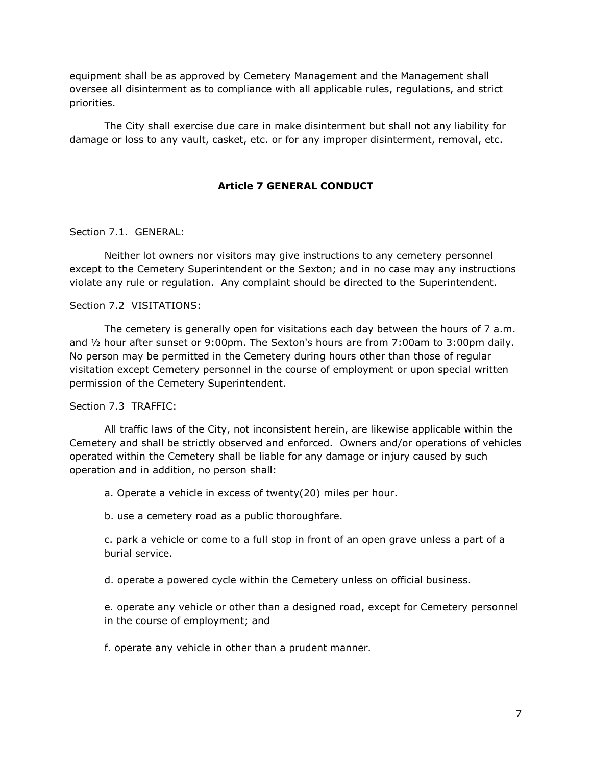equipment shall be as approved by Cemetery Management and the Management shall oversee all disinterment as to compliance with all applicable rules, regulations, and strict priorities.

 The City shall exercise due care in make disinterment but shall not any liability for damage or loss to any vault, casket, etc. or for any improper disinterment, removal, etc.

## Article 7 GENERAL CONDUCT

#### Section 7.1. GENERAL:

 Neither lot owners nor visitors may give instructions to any cemetery personnel except to the Cemetery Superintendent or the Sexton; and in no case may any instructions violate any rule or regulation. Any complaint should be directed to the Superintendent.

## Section 7.2 VISITATIONS:

 The cemetery is generally open for visitations each day between the hours of 7 a.m. and ½ hour after sunset or 9:00pm. The Sexton's hours are from 7:00am to 3:00pm daily. No person may be permitted in the Cemetery during hours other than those of regular visitation except Cemetery personnel in the course of employment or upon special written permission of the Cemetery Superintendent.

#### Section 7.3 TRAFFIC:

 All traffic laws of the City, not inconsistent herein, are likewise applicable within the Cemetery and shall be strictly observed and enforced. Owners and/or operations of vehicles operated within the Cemetery shall be liable for any damage or injury caused by such operation and in addition, no person shall:

a. Operate a vehicle in excess of twenty(20) miles per hour.

b. use a cemetery road as a public thoroughfare.

 c. park a vehicle or come to a full stop in front of an open grave unless a part of a burial service.

d. operate a powered cycle within the Cemetery unless on official business.

 e. operate any vehicle or other than a designed road, except for Cemetery personnel in the course of employment; and

f. operate any vehicle in other than a prudent manner.